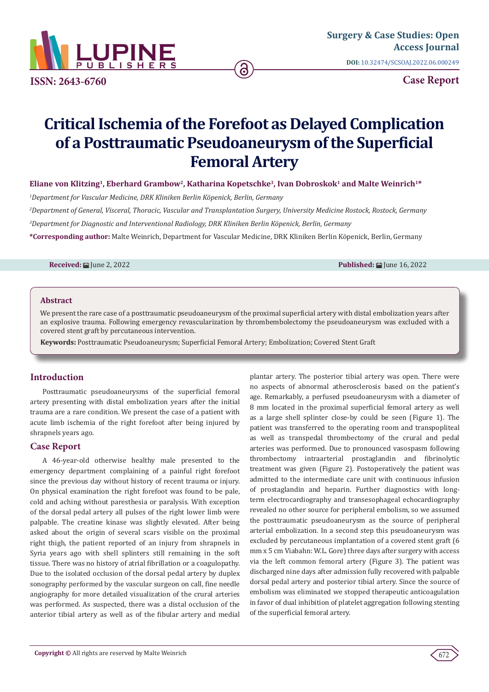

**ISSN: 2643-6760**

**Case Report**

# **Critical Ischemia of the Forefoot as Delayed Complication of a Posttraumatic Pseudoaneurysm of the Superficial Femoral Artery**

6

Eliane von Klitzing<sup>1</sup>, Eberhard Grambow<sup>2</sup>, Katharina Kopetschke<sup>3</sup>, Ivan Dobroskok<sup>1</sup> and Malte Weinrich<sup>1\*</sup>

*1 Department for Vascular Medicine, DRK Kliniken Berlin Köpenick, Berlin, Germany*

*2 Department of General, Visceral, Thoracic, Vascular and Transplantation Surgery, University Medicine Rostock, Rostock, Germany*

*3 Department for Diagnostic and Interventional Radiology, DRK Kliniken Berlin Köpenick, Berlin, Germany*

**\*Corresponding author:** Malte Weinrich, Department for Vascular Medicine, DRK Kliniken Berlin Köpenick, Berlin, Germany

**Received:** June 2, 2022 **Published:** June 16, 2022

## **Abstract**

We present the rare case of a posttraumatic pseudoaneurysm of the proximal superficial artery with distal embolization years after an explosive trauma. Following emergency revascularization by thrombembolectomy the pseudoaneurysm was excluded with a covered stent graft by percutaneous intervention.

**Keywords:** Posttraumatic Pseudoaneurysm; Superficial Femoral Artery; Embolization; Covered Stent Graft

# **Introduction**

Posttraumatic pseudoaneurysms of the superficial femoral artery presenting with distal embolization years after the initial trauma are a rare condition. We present the case of a patient with acute limb ischemia of the right forefoot after being injured by shrapnels years ago.

#### **Case Report**

A 46-year-old otherwise healthy male presented to the emergency department complaining of a painful right forefoot since the previous day without history of recent trauma or injury. On physical examination the right forefoot was found to be pale, cold and aching without paresthesia or paralysis. With exception of the dorsal pedal artery all pulses of the right lower limb were palpable. The creatine kinase was slightly elevated. After being asked about the origin of several scars visible on the proximal right thigh, the patient reported of an injury from shrapnels in Syria years ago with shell splinters still remaining in the soft tissue. There was no history of atrial fibrillation or a coagulopathy. Due to the isolated occlusion of the dorsal pedal artery by duplex sonography performed by the vascular surgeon on call, fine needle angiography for more detailed visualization of the crural arteries was performed. As suspected, there was a distal occlusion of the anterior tibial artery as well as of the fibular artery and medial

plantar artery. The posterior tibial artery was open. There were no aspects of abnormal atherosclerosis based on the patient's age. Remarkably, a perfused pseudoaneurysm with a diameter of 8 mm located in the proximal superficial femoral artery as well as a large shell splinter close-by could be seen (Figure 1). The patient was transferred to the operating room and transpopliteal as well as transpedal thrombectomy of the crural and pedal arteries was performed. Due to pronounced vasospasm following thrombectomy intraarterial prostaglandin and fibrinolytic treatment was given (Figure 2). Postoperatively the patient was admitted to the intermediate care unit with continuous infusion of prostaglandin and heparin. Further diagnostics with longterm electrocardiography and transesophageal echocardiography revealed no other source for peripheral embolism, so we assumed the posttraumatic pseudoaneurysm as the source of peripheral arterial embolization. In a second step this pseudoaneurysm was excluded by percutaneous implantation of a covered stent graft (6 mm x 5 cm Viabahn: W.L. Gore) three days after surgery with access via the left common femoral artery (Figure 3). The patient was discharged nine days after admission fully recovered with palpable dorsal pedal artery and posterior tibial artery. Since the source of embolism was eliminated we stopped therapeutic anticoagulation in favor of dual inhibition of platelet aggregation following stenting of the superficial femoral artery.

672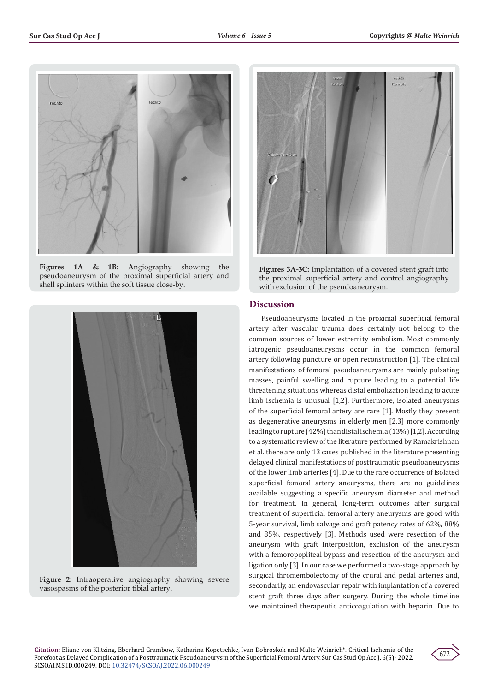

**Figures 1A & 1B: A**ngiography showing the pseudoaneurysm of the proximal superficial artery and shell splinters within the soft tissue close-by.



**Figure 2:** Intraoperative angiography showing severe vasospasms of the posterior tibial artery.



**Figures 3A-3C:** Implantation of a covered stent graft into the proximal superficial artery and control angiography with exclusion of the pseudoaneurysm.

# **Discussion**

Pseudoaneurysms located in the proximal superficial femoral artery after vascular trauma does certainly not belong to the common sources of lower extremity embolism. Most commonly iatrogenic pseudoaneurysms occur in the common femoral artery following puncture or open reconstruction [1]. The clinical manifestations of femoral pseudoaneurysms are mainly pulsating masses, painful swelling and rupture leading to a potential life threatening situations whereas distal embolization leading to acute limb ischemia is unusual [1,2]. Furthermore, isolated aneurysms of the superficial femoral artery are rare [1]. Mostly they present as degenerative aneurysms in elderly men [2,3] more commonly leading to rupture (42%) than distal ischemia (13%) [1,2]. According to a systematic review of the literature performed by Ramakrishnan et al. there are only 13 cases published in the literature presenting delayed clinical manifestations of posttraumatic pseudoaneurysms of the lower limb arteries [4]. Due to the rare occurrence of isolated superficial femoral artery aneurysms, there are no guidelines available suggesting a specific aneurysm diameter and method for treatment. In general, long-term outcomes after surgical treatment of superficial femoral artery aneurysms are good with 5-year survival, limb salvage and graft patency rates of 62%, 88% and 85%, respectively [3]. Methods used were resection of the aneurysm with graft interposition, exclusion of the aneurysm with a femoropopliteal bypass and resection of the aneurysm and ligation only [3]. In our case we performed a two-stage approach by surgical thromembolectomy of the crural and pedal arteries and, secondarily, an endovascular repair with implantation of a covered stent graft three days after surgery. During the whole timeline we maintained therapeutic anticoagulation with heparin. Due to